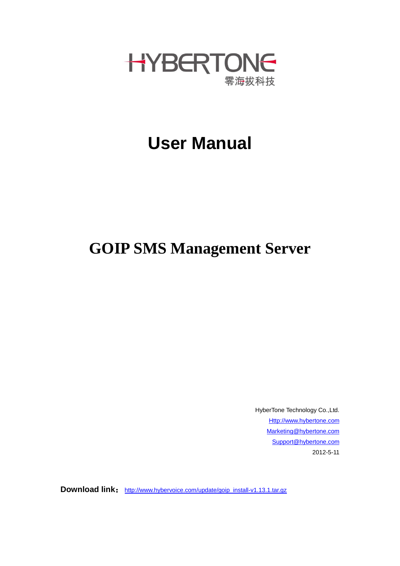

## **User Manual**

## **GOIP SMS Management Server**

HyberTone Technology Co.,Ltd. [Http://www.hybertone.com](http://www.hybertone.com/) [Marketing@hybertone.com](mailto:Marketing@hybertone.com) [Support@hybertone.com](mailto:Support@hybertone.com) 2012-5-11

**Download link:** [http://www.hybervoice.com/update/goip\\_install-v1.13.1.tar.gz](http://www.hybervoice.com/update/goip_install-v1.13.1.tar.gz)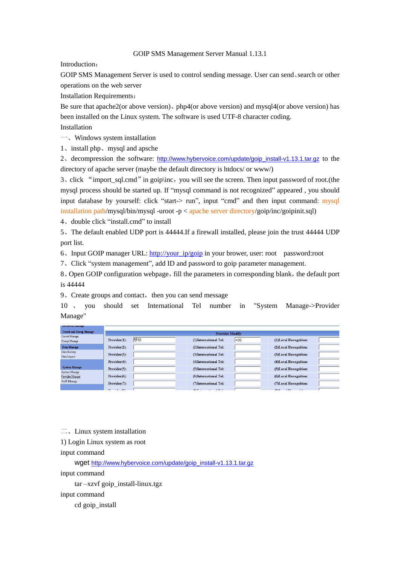## GOIP SMS Management Server Manual 1.13.1

Introduction:

GOIP SMS Management Server is used to control sending message. User can send、search or other operations on the web server

Installation Requirements:

Be sure that apache2(or above version)、php4(or above version) and mysql4(or above version) has been installed on the Linux system. The software is used UTF-8 character coding.

Installation

一、Windows system installation

1、install php、mysql and apsche

2、decompression the software: [http://www.hybervoice.com/update/goip\\_install-v1.13.1.tar.gz](http://www.hybervoice.com/update/goip_install-v1.13.1.tar.gz) to the directory of apache server (maybe the default directory is htdocs/ or www/)

3、click "import\_sql.cmd"in goip\inc,you will see the screen. Then input password of root.(the mysql process should be started up. If "mysql command is not recognized" appeared , you should input database by yourself: click "start-> run", input "cmd" and then input command: mysql installation path/mysql/bin/mysql -uroot -p < apache server directory/goip/inc/goipinit.sql)

4、double click "install.cmd" to install

5、The default enabled UDP port is 44444.If a firewall installed, please join the trust 44444 UDP port list.

6、Input GOIP manager URL: [http://your\\_ip/goip](http://your_ip/goip) in your brower, user: root password:root

7、Click "system management", add ID and password to goip parameter management.

8. Open GOIP configuration webpage, fill the parameters in corresponding blank, the default port is 44444

 $9$ . Create groups and contact, then you can send message

10 、 you should set International Tel number in "System Manage->Provider Manage"

| <b>Crowd and Group Manage</b>                                           | <b>Provider Modify</b>      |                                   |                               |  |
|-------------------------------------------------------------------------|-----------------------------|-----------------------------------|-------------------------------|--|
| Crowd Manage<br>Group Manage                                            | 移动<br>$Provider(1)$ :       | $+86$<br>(1)International Tel:    | (1)Local Recognition:         |  |
| Data Manage<br>Data Backup<br>Data Import                               | $Provider(2)$ :             | (2)International Tel:             | (2) Local Recognition:        |  |
|                                                                         | Provider(3):                | (3) International Tel:            | (3) Local Recognition:        |  |
| <b>System Manage</b><br>System Manage<br>Provider Manage<br>GoIP Manage | $Provider(4)$ :             | (4) International Tel:            | (4)Local Recognition:         |  |
|                                                                         | $Provider(5)$ :             | (5)International Tel:             | (5)Local Recognition:         |  |
|                                                                         | Provider(6):                | (6)International Tel:             | (6) Local Recognition:        |  |
|                                                                         | $Provider(7)$ :             | (7) International Tel:            | (7)Local Recognition:         |  |
|                                                                         | $\mathbf{r}$<br>$2.1 - 603$ | <b>GIVT</b><br><b>CALCULATION</b> | <b>ADVT</b><br>$-1.32$<br>525 |  |

 $\equiv$ , Linux system installation

1) Login Linux system as root

input command

wget [http://www.hybervoice.com/update/goip\\_install-v1.13.1.tar.gz](http://www.hybervoice.com/update/goip_install-v1.13.1.tar.gz)

input command

tar –xzvf goip\_install-linux.tgz

input command

cd goip\_install